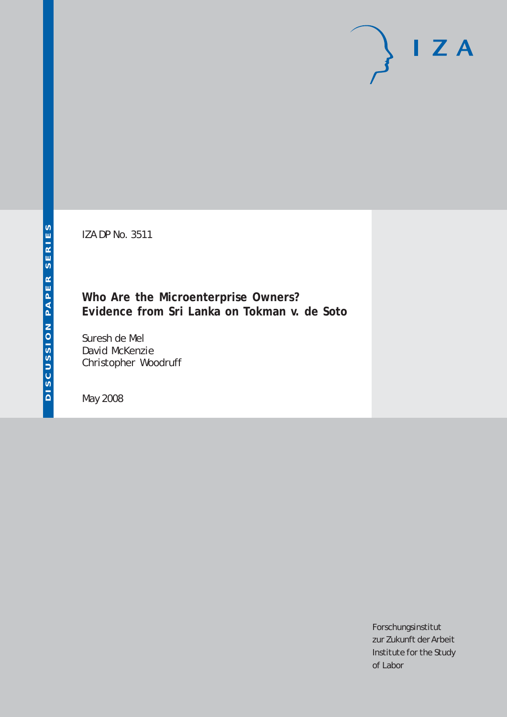IZA DP No. 3511

**Who Are the Microenterprise Owners? Evidence from Sri Lanka on Tokman v. de Soto**

Suresh de Mel David McKenzie Christopher Woodruff

May 2008

Forschungsinstitut zur Zukunft der Arbeit Institute for the Study of Labor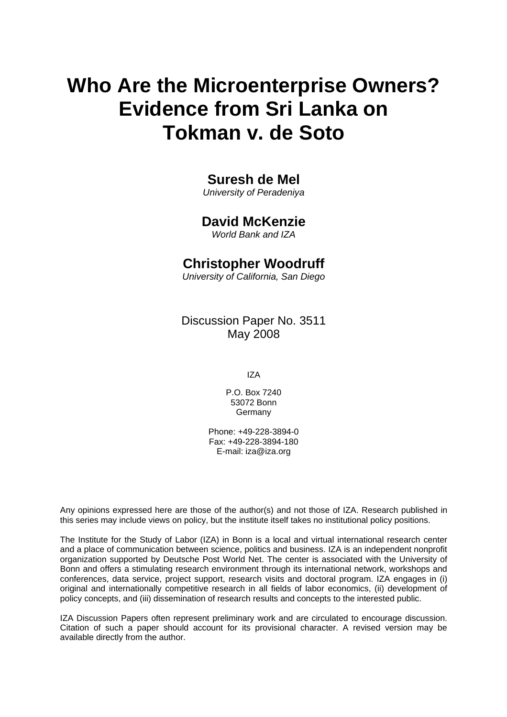# **Who Are the Microenterprise Owners? Evidence from Sri Lanka on Tokman v. de Soto**

### **Suresh de Mel**

*University of Peradeniya* 

### **David McKenzie**

*World Bank and IZA* 

### **Christopher Woodruff**

*University of California, San Diego* 

Discussion Paper No. 3511 May 2008

IZA

P.O. Box 7240 53072 Bonn Germany

Phone: +49-228-3894-0 Fax: +49-228-3894-180 E-mail: [iza@iza.org](mailto:iza@iza.org)

Any opinions expressed here are those of the author(s) and not those of IZA. Research published in this series may include views on policy, but the institute itself takes no institutional policy positions.

The Institute for the Study of Labor (IZA) in Bonn is a local and virtual international research center and a place of communication between science, politics and business. IZA is an independent nonprofit organization supported by Deutsche Post World Net. The center is associated with the University of Bonn and offers a stimulating research environment through its international network, workshops and conferences, data service, project support, research visits and doctoral program. IZA engages in (i) original and internationally competitive research in all fields of labor economics, (ii) development of policy concepts, and (iii) dissemination of research results and concepts to the interested public.

IZA Discussion Papers often represent preliminary work and are circulated to encourage discussion. Citation of such a paper should account for its provisional character. A revised version may be available directly from the author.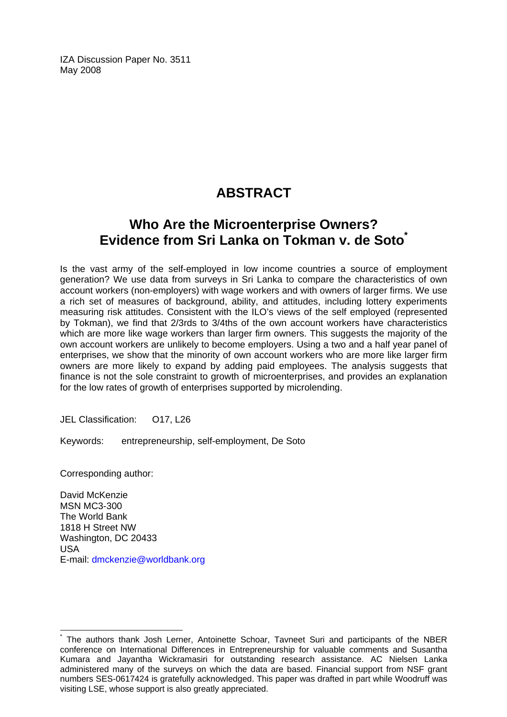IZA Discussion Paper No. 3511 May 2008

# **ABSTRACT**

## **Who Are the Microenterprise Owners? Evidence from Sri Lanka on Tokman v. de Soto[\\*](#page-2-0)**

Is the vast army of the self-employed in low income countries a source of employment generation? We use data from surveys in Sri Lanka to compare the characteristics of own account workers (non-employers) with wage workers and with owners of larger firms. We use a rich set of measures of background, ability, and attitudes, including lottery experiments measuring risk attitudes. Consistent with the ILO's views of the self employed (represented by Tokman), we find that 2/3rds to 3/4ths of the own account workers have characteristics which are more like wage workers than larger firm owners. This suggests the majority of the own account workers are unlikely to become employers. Using a two and a half year panel of enterprises, we show that the minority of own account workers who are more like larger firm owners are more likely to expand by adding paid employees. The analysis suggests that finance is not the sole constraint to growth of microenterprises, and provides an explanation for the low rates of growth of enterprises supported by microlending.

JEL Classification: 017, L26

Keywords: entrepreneurship, self-employment, De Soto

Corresponding author:

 $\overline{a}$ 

David McKenzie MSN MC3-300 The World Bank 1818 H Street NW Washington, DC 20433 USA E-mail: [dmckenzie@worldbank.org](mailto:dmckenzie@worldbank.org) 

<span id="page-2-0"></span><sup>\*</sup> The authors thank Josh Lerner, Antoinette Schoar, Tavneet Suri and participants of the NBER conference on International Differences in Entrepreneurship for valuable comments and Susantha Kumara and Jayantha Wickramasiri for outstanding research assistance. AC Nielsen Lanka administered many of the surveys on which the data are based. Financial support from NSF grant numbers SES-0617424 is gratefully acknowledged. This paper was drafted in part while Woodruff was visiting LSE, whose support is also greatly appreciated.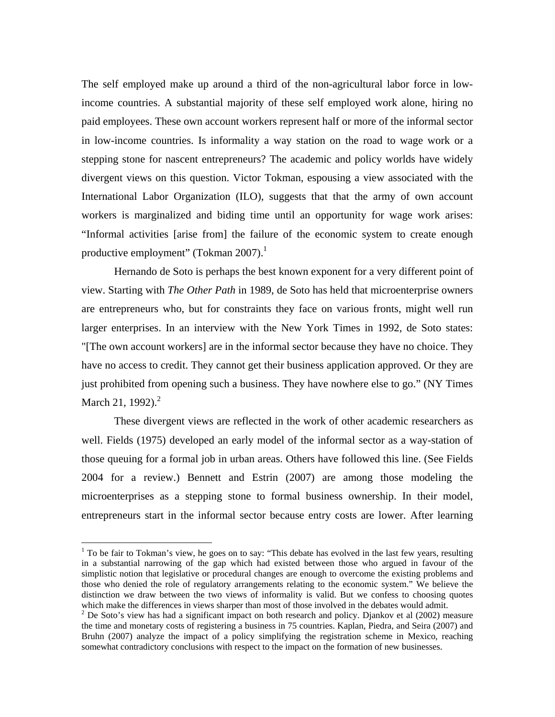The self employed make up around a third of the non-agricultural labor force in lowincome countries. A substantial majority of these self employed work alone, hiring no paid employees. These own account workers represent half or more of the informal sector in low-income countries. Is informality a way station on the road to wage work or a stepping stone for nascent entrepreneurs? The academic and policy worlds have widely divergent views on this question. Victor Tokman, espousing a view associated with the International Labor Organization (ILO), suggests that that the army of own account workers is marginalized and biding time until an opportunity for wage work arises: "Informal activities [arise from] the failure of the economic system to create enough productive employment" (Tokman 2007). $^1$ 

Hernando de Soto is perhaps the best known exponent for a very different point of view. Starting with *The Other Path* in 1989, de Soto has held that microenterprise owners are entrepreneurs who, but for constraints they face on various fronts, might well run larger enterprises. In an interview with the New York Times in 1992, de Soto states: "[The own account workers] are in the informal sector because they have no choice. They have no access to credit. They cannot get their business application approved. Or they are just prohibited from opening such a business. They have nowhere else to go." (NY Times March 21, 1992).<sup>2</sup>

These divergent views are reflected in the work of other academic researchers as well. Fields (1975) developed an early model of the informal sector as a way-station of those queuing for a formal job in urban areas. Others have followed this line. (See Fields 2004 for a review.) Bennett and Estrin (2007) are among those modeling the microenterprises as a stepping stone to formal business ownership. In their model, entrepreneurs start in the informal sector because entry costs are lower. After learning

 $\overline{a}$ 

 $<sup>1</sup>$  To be fair to Tokman's view, he goes on to say: "This debate has evolved in the last few years, resulting</sup> in a substantial narrowing of the gap which had existed between those who argued in favour of the simplistic notion that legislative or procedural changes are enough to overcome the existing problems and those who denied the role of regulatory arrangements relating to the economic system." We believe the distinction we draw between the two views of informality is valid. But we confess to choosing quotes which make the differences in views sharper than most of those involved in the debates would admit.

 $2^{2}$  De Soto's view has had a significant impact on both research and policy. Djankov et al (2002) measure the time and monetary costs of registering a business in 75 countries. Kaplan, Piedra, and Seira (2007) and Bruhn (2007) analyze the impact of a policy simplifying the registration scheme in Mexico, reaching somewhat contradictory conclusions with respect to the impact on the formation of new businesses.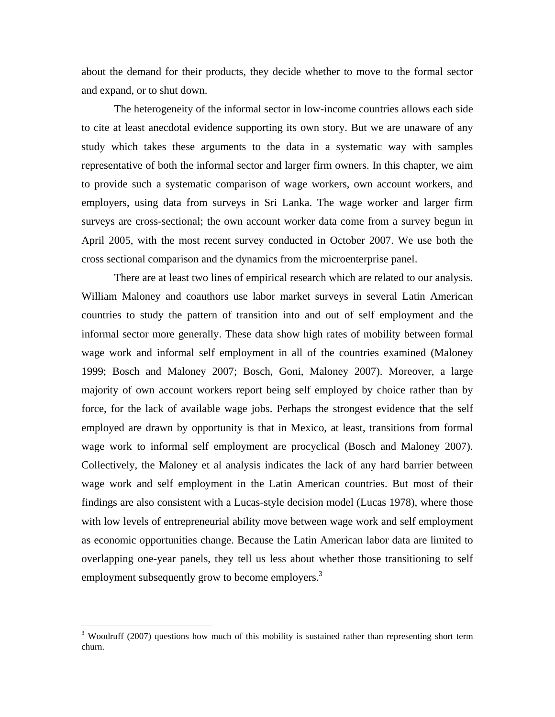about the demand for their products, they decide whether to move to the formal sector and expand, or to shut down.

The heterogeneity of the informal sector in low-income countries allows each side to cite at least anecdotal evidence supporting its own story. But we are unaware of any study which takes these arguments to the data in a systematic way with samples representative of both the informal sector and larger firm owners. In this chapter, we aim to provide such a systematic comparison of wage workers, own account workers, and employers, using data from surveys in Sri Lanka. The wage worker and larger firm surveys are cross-sectional; the own account worker data come from a survey begun in April 2005, with the most recent survey conducted in October 2007. We use both the cross sectional comparison and the dynamics from the microenterprise panel.

There are at least two lines of empirical research which are related to our analysis. William Maloney and coauthors use labor market surveys in several Latin American countries to study the pattern of transition into and out of self employment and the informal sector more generally. These data show high rates of mobility between formal wage work and informal self employment in all of the countries examined (Maloney 1999; Bosch and Maloney 2007; Bosch, Goni, Maloney 2007). Moreover, a large majority of own account workers report being self employed by choice rather than by force, for the lack of available wage jobs. Perhaps the strongest evidence that the self employed are drawn by opportunity is that in Mexico, at least, transitions from formal wage work to informal self employment are procyclical (Bosch and Maloney 2007). Collectively, the Maloney et al analysis indicates the lack of any hard barrier between wage work and self employment in the Latin American countries. But most of their findings are also consistent with a Lucas-style decision model (Lucas 1978), where those with low levels of entrepreneurial ability move between wage work and self employment as economic opportunities change. Because the Latin American labor data are limited to overlapping one-year panels, they tell us less about whether those transitioning to self employment subsequently grow to become employers.<sup>3</sup>

 $\overline{a}$ 

 $3$  Woodruff (2007) questions how much of this mobility is sustained rather than representing short term churn.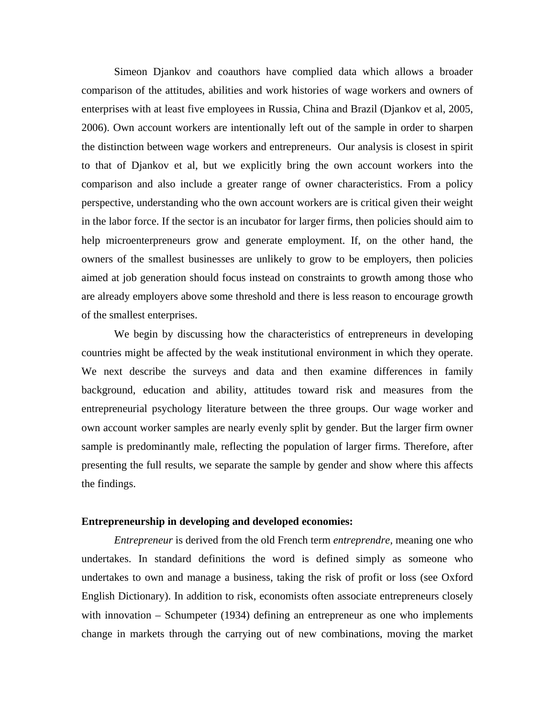Simeon Djankov and coauthors have complied data which allows a broader comparison of the attitudes, abilities and work histories of wage workers and owners of enterprises with at least five employees in Russia, China and Brazil (Djankov et al, 2005, 2006). Own account workers are intentionally left out of the sample in order to sharpen the distinction between wage workers and entrepreneurs. Our analysis is closest in spirit to that of Djankov et al, but we explicitly bring the own account workers into the comparison and also include a greater range of owner characteristics. From a policy perspective, understanding who the own account workers are is critical given their weight in the labor force. If the sector is an incubator for larger firms, then policies should aim to help microenterpreneurs grow and generate employment. If, on the other hand, the owners of the smallest businesses are unlikely to grow to be employers, then policies aimed at job generation should focus instead on constraints to growth among those who are already employers above some threshold and there is less reason to encourage growth of the smallest enterprises.

We begin by discussing how the characteristics of entrepreneurs in developing countries might be affected by the weak institutional environment in which they operate. We next describe the surveys and data and then examine differences in family background, education and ability, attitudes toward risk and measures from the entrepreneurial psychology literature between the three groups. Our wage worker and own account worker samples are nearly evenly split by gender. But the larger firm owner sample is predominantly male, reflecting the population of larger firms. Therefore, after presenting the full results, we separate the sample by gender and show where this affects the findings.

#### **Entrepreneurship in developing and developed economies:**

*Entrepreneur* is derived from the old French term *entreprendre,* meaning one who undertakes. In standard definitions the word is defined simply as someone who undertakes to own and manage a business, taking the risk of profit or loss (see Oxford English Dictionary). In addition to risk, economists often associate entrepreneurs closely with innovation – Schumpeter (1934) defining an entrepreneur as one who implements change in markets through the carrying out of new combinations, moving the market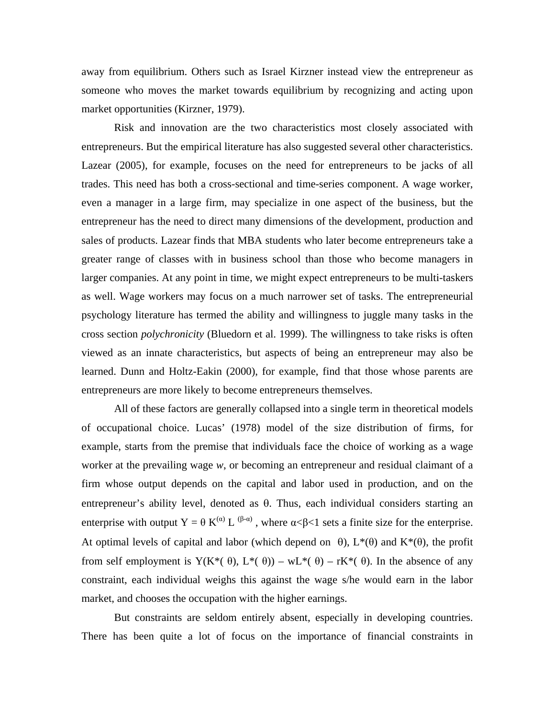away from equilibrium. Others such as Israel Kirzner instead view the entrepreneur as someone who moves the market towards equilibrium by recognizing and acting upon market opportunities (Kirzner, 1979).

 Risk and innovation are the two characteristics most closely associated with entrepreneurs. But the empirical literature has also suggested several other characteristics. Lazear (2005), for example, focuses on the need for entrepreneurs to be jacks of all trades. This need has both a cross-sectional and time-series component. A wage worker, even a manager in a large firm, may specialize in one aspect of the business, but the entrepreneur has the need to direct many dimensions of the development, production and sales of products. Lazear finds that MBA students who later become entrepreneurs take a greater range of classes with in business school than those who become managers in larger companies. At any point in time, we might expect entrepreneurs to be multi-taskers as well. Wage workers may focus on a much narrower set of tasks. The entrepreneurial psychology literature has termed the ability and willingness to juggle many tasks in the cross section *polychronicity* (Bluedorn et al. 1999). The willingness to take risks is often viewed as an innate characteristics, but aspects of being an entrepreneur may also be learned. Dunn and Holtz-Eakin (2000), for example, find that those whose parents are entrepreneurs are more likely to become entrepreneurs themselves.

 All of these factors are generally collapsed into a single term in theoretical models of occupational choice. Lucas' (1978) model of the size distribution of firms, for example, starts from the premise that individuals face the choice of working as a wage worker at the prevailing wage *w*, or becoming an entrepreneur and residual claimant of a firm whose output depends on the capital and labor used in production, and on the entrepreneur's ability level, denoted as  $\theta$ . Thus, each individual considers starting an enterprise with output  $Y = \theta K^{(\alpha)} L^{(\beta-\alpha)}$ , where  $\alpha < \beta < 1$  sets a finite size for the enterprise. At optimal levels of capital and labor (which depend on  $\theta$ ),  $L^*(\theta)$  and  $K^*(\theta)$ , the profit from self employment is  $Y(K^*(\theta), L^*(\theta)) - wL^*(\theta) - rK^*(\theta)$ . In the absence of any constraint, each individual weighs this against the wage s/he would earn in the labor market, and chooses the occupation with the higher earnings.

 But constraints are seldom entirely absent, especially in developing countries. There has been quite a lot of focus on the importance of financial constraints in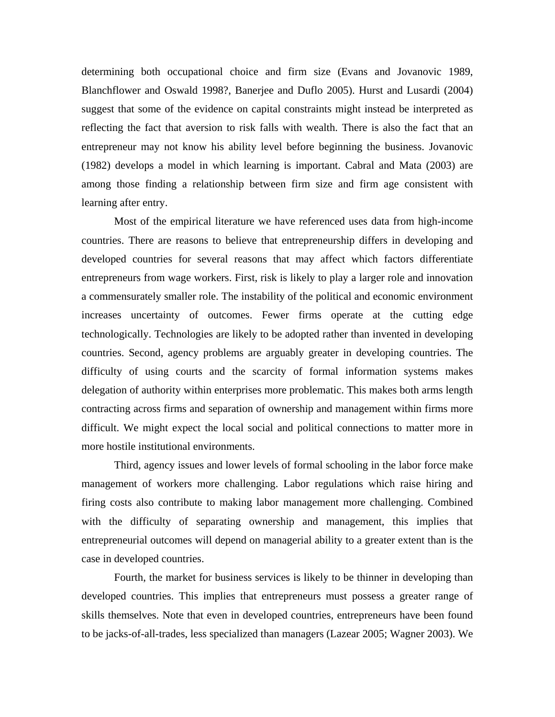determining both occupational choice and firm size (Evans and Jovanovic 1989, Blanchflower and Oswald 1998?, Banerjee and Duflo 2005). Hurst and Lusardi (2004) suggest that some of the evidence on capital constraints might instead be interpreted as reflecting the fact that aversion to risk falls with wealth. There is also the fact that an entrepreneur may not know his ability level before beginning the business. Jovanovic (1982) develops a model in which learning is important. Cabral and Mata (2003) are among those finding a relationship between firm size and firm age consistent with learning after entry.

 Most of the empirical literature we have referenced uses data from high-income countries. There are reasons to believe that entrepreneurship differs in developing and developed countries for several reasons that may affect which factors differentiate entrepreneurs from wage workers. First, risk is likely to play a larger role and innovation a commensurately smaller role. The instability of the political and economic environment increases uncertainty of outcomes. Fewer firms operate at the cutting edge technologically. Technologies are likely to be adopted rather than invented in developing countries. Second, agency problems are arguably greater in developing countries. The difficulty of using courts and the scarcity of formal information systems makes delegation of authority within enterprises more problematic. This makes both arms length contracting across firms and separation of ownership and management within firms more difficult. We might expect the local social and political connections to matter more in more hostile institutional environments.

Third, agency issues and lower levels of formal schooling in the labor force make management of workers more challenging. Labor regulations which raise hiring and firing costs also contribute to making labor management more challenging. Combined with the difficulty of separating ownership and management, this implies that entrepreneurial outcomes will depend on managerial ability to a greater extent than is the case in developed countries.

Fourth, the market for business services is likely to be thinner in developing than developed countries. This implies that entrepreneurs must possess a greater range of skills themselves. Note that even in developed countries, entrepreneurs have been found to be jacks-of-all-trades, less specialized than managers (Lazear 2005; Wagner 2003). We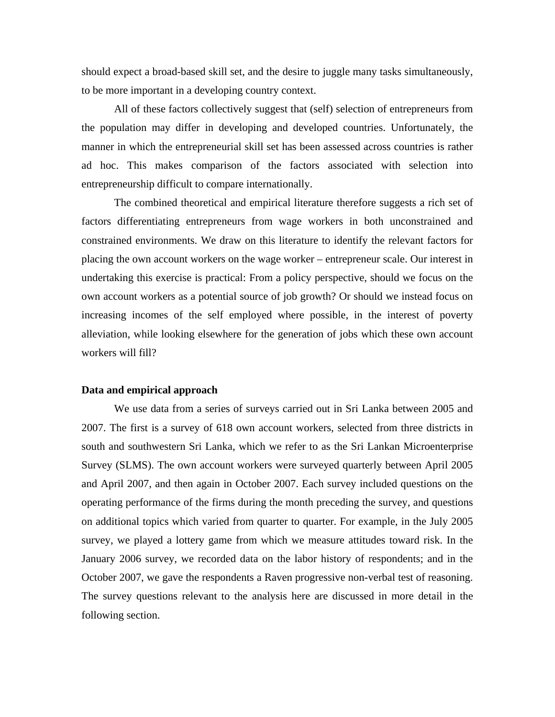should expect a broad-based skill set, and the desire to juggle many tasks simultaneously, to be more important in a developing country context.

All of these factors collectively suggest that (self) selection of entrepreneurs from the population may differ in developing and developed countries. Unfortunately, the manner in which the entrepreneurial skill set has been assessed across countries is rather ad hoc. This makes comparison of the factors associated with selection into entrepreneurship difficult to compare internationally.

The combined theoretical and empirical literature therefore suggests a rich set of factors differentiating entrepreneurs from wage workers in both unconstrained and constrained environments. We draw on this literature to identify the relevant factors for placing the own account workers on the wage worker – entrepreneur scale. Our interest in undertaking this exercise is practical: From a policy perspective, should we focus on the own account workers as a potential source of job growth? Or should we instead focus on increasing incomes of the self employed where possible, in the interest of poverty alleviation, while looking elsewhere for the generation of jobs which these own account workers will fill?

#### **Data and empirical approach**

We use data from a series of surveys carried out in Sri Lanka between 2005 and 2007. The first is a survey of 618 own account workers, selected from three districts in south and southwestern Sri Lanka, which we refer to as the Sri Lankan Microenterprise Survey (SLMS). The own account workers were surveyed quarterly between April 2005 and April 2007, and then again in October 2007. Each survey included questions on the operating performance of the firms during the month preceding the survey, and questions on additional topics which varied from quarter to quarter. For example, in the July 2005 survey, we played a lottery game from which we measure attitudes toward risk. In the January 2006 survey, we recorded data on the labor history of respondents; and in the October 2007, we gave the respondents a Raven progressive non-verbal test of reasoning. The survey questions relevant to the analysis here are discussed in more detail in the following section.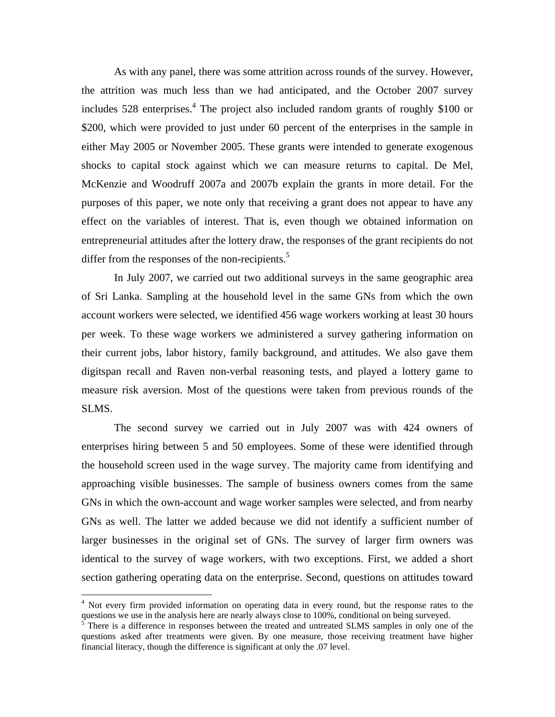As with any panel, there was some attrition across rounds of the survey. However, the attrition was much less than we had anticipated, and the October 2007 survey includes 528 enterprises.<sup>4</sup> The project also included random grants of roughly \$100 or \$200, which were provided to just under 60 percent of the enterprises in the sample in either May 2005 or November 2005. These grants were intended to generate exogenous shocks to capital stock against which we can measure returns to capital. De Mel, McKenzie and Woodruff 2007a and 2007b explain the grants in more detail. For the purposes of this paper, we note only that receiving a grant does not appear to have any effect on the variables of interest. That is, even though we obtained information on entrepreneurial attitudes after the lottery draw, the responses of the grant recipients do not differ from the responses of the non-recipients.<sup>5</sup>

In July 2007, we carried out two additional surveys in the same geographic area of Sri Lanka. Sampling at the household level in the same GNs from which the own account workers were selected, we identified 456 wage workers working at least 30 hours per week. To these wage workers we administered a survey gathering information on their current jobs, labor history, family background, and attitudes. We also gave them digitspan recall and Raven non-verbal reasoning tests, and played a lottery game to measure risk aversion. Most of the questions were taken from previous rounds of the SLMS.

The second survey we carried out in July 2007 was with 424 owners of enterprises hiring between 5 and 50 employees. Some of these were identified through the household screen used in the wage survey. The majority came from identifying and approaching visible businesses. The sample of business owners comes from the same GNs in which the own-account and wage worker samples were selected, and from nearby GNs as well. The latter we added because we did not identify a sufficient number of larger businesses in the original set of GNs. The survey of larger firm owners was identical to the survey of wage workers, with two exceptions. First, we added a short section gathering operating data on the enterprise. Second, questions on attitudes toward

1

<sup>&</sup>lt;sup>4</sup> Not every firm provided information on operating data in every round, but the response rates to the questions we use in the analysis here are nearly always close to 100%, conditional on being surveyed.<br><sup>5</sup> There is a difference in responses between the treated and untreated SLMS samples in only one of the

questions asked after treatments were given. By one measure, those receiving treatment have higher financial literacy, though the difference is significant at only the .07 level.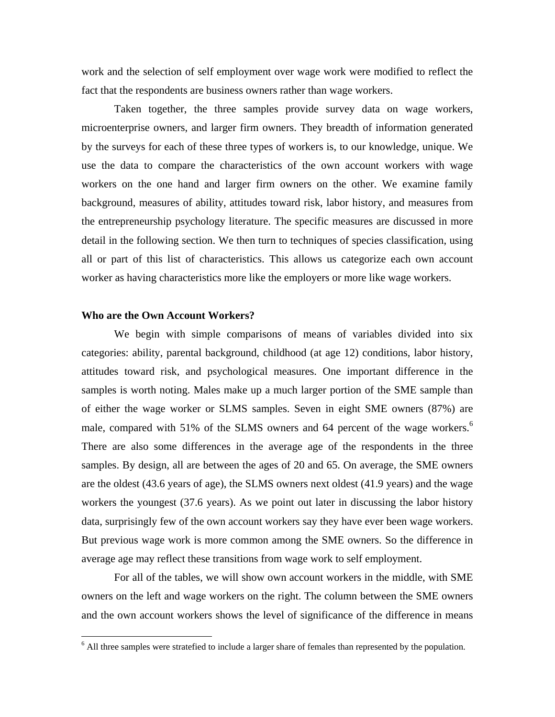work and the selection of self employment over wage work were modified to reflect the fact that the respondents are business owners rather than wage workers.

Taken together, the three samples provide survey data on wage workers, microenterprise owners, and larger firm owners. They breadth of information generated by the surveys for each of these three types of workers is, to our knowledge, unique. We use the data to compare the characteristics of the own account workers with wage workers on the one hand and larger firm owners on the other. We examine family background, measures of ability, attitudes toward risk, labor history, and measures from the entrepreneurship psychology literature. The specific measures are discussed in more detail in the following section. We then turn to techniques of species classification, using all or part of this list of characteristics. This allows us categorize each own account worker as having characteristics more like the employers or more like wage workers.

#### **Who are the Own Account Workers?**

<u>.</u>

We begin with simple comparisons of means of variables divided into six categories: ability, parental background, childhood (at age 12) conditions, labor history, attitudes toward risk, and psychological measures. One important difference in the samples is worth noting. Males make up a much larger portion of the SME sample than of either the wage worker or SLMS samples. Seven in eight SME owners (87%) are male, compared with 51% of the SLMS owners and 64 percent of the wage workers.<sup>6</sup> There are also some differences in the average age of the respondents in the three samples. By design, all are between the ages of 20 and 65. On average, the SME owners are the oldest (43.6 years of age), the SLMS owners next oldest (41.9 years) and the wage workers the youngest (37.6 years). As we point out later in discussing the labor history data, surprisingly few of the own account workers say they have ever been wage workers. But previous wage work is more common among the SME owners. So the difference in average age may reflect these transitions from wage work to self employment.

For all of the tables, we will show own account workers in the middle, with SME owners on the left and wage workers on the right. The column between the SME owners and the own account workers shows the level of significance of the difference in means

<sup>&</sup>lt;sup>6</sup> All three samples were stratefied to include a larger share of females than represented by the population.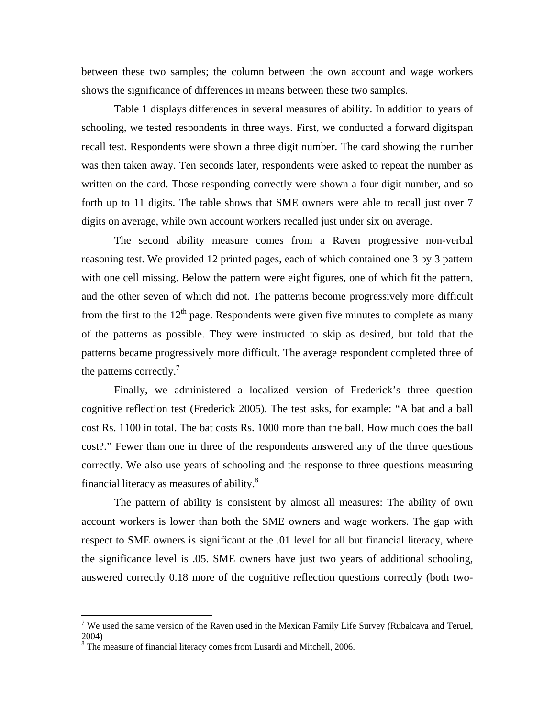between these two samples; the column between the own account and wage workers shows the significance of differences in means between these two samples.

Table 1 displays differences in several measures of ability. In addition to years of schooling, we tested respondents in three ways. First, we conducted a forward digitspan recall test. Respondents were shown a three digit number. The card showing the number was then taken away. Ten seconds later, respondents were asked to repeat the number as written on the card. Those responding correctly were shown a four digit number, and so forth up to 11 digits. The table shows that SME owners were able to recall just over 7 digits on average, while own account workers recalled just under six on average.

The second ability measure comes from a Raven progressive non-verbal reasoning test. We provided 12 printed pages, each of which contained one 3 by 3 pattern with one cell missing. Below the pattern were eight figures, one of which fit the pattern, and the other seven of which did not. The patterns become progressively more difficult from the first to the  $12<sup>th</sup>$  page. Respondents were given five minutes to complete as many of the patterns as possible. They were instructed to skip as desired, but told that the patterns became progressively more difficult. The average respondent completed three of the patterns correctly.<sup>7</sup>

Finally, we administered a localized version of Frederick's three question cognitive reflection test (Frederick 2005). The test asks, for example: "A bat and a ball cost Rs. 1100 in total. The bat costs Rs. 1000 more than the ball. How much does the ball cost?." Fewer than one in three of the respondents answered any of the three questions correctly. We also use years of schooling and the response to three questions measuring financial literacy as measures of ability. $8$ 

The pattern of ability is consistent by almost all measures: The ability of own account workers is lower than both the SME owners and wage workers. The gap with respect to SME owners is significant at the .01 level for all but financial literacy, where the significance level is .05. SME owners have just two years of additional schooling, answered correctly 0.18 more of the cognitive reflection questions correctly (both two-

1

<sup>&</sup>lt;sup>7</sup> We used the same version of the Raven used in the Mexican Family Life Survey (Rubalcava and Teruel, 2004)

<sup>&</sup>lt;sup>8</sup> The measure of financial literacy comes from Lusardi and Mitchell, 2006.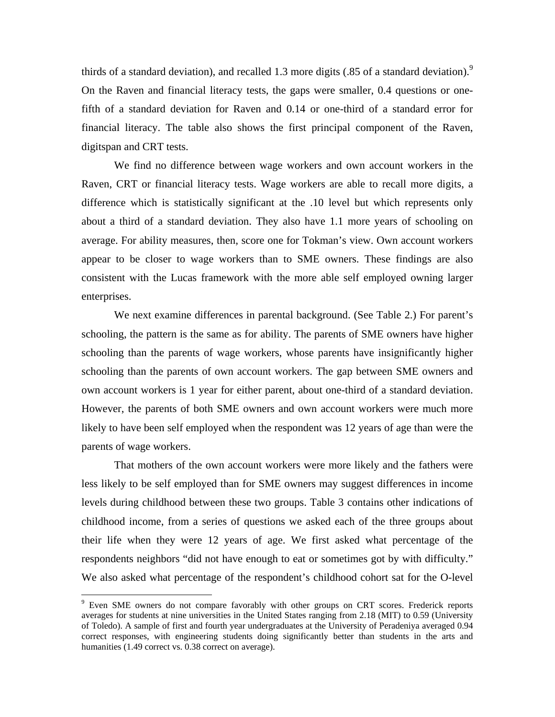thirds of a standard deviation), and recalled 1.3 more digits (.85 of a standard deviation).<sup>9</sup> On the Raven and financial literacy tests, the gaps were smaller, 0.4 questions or onefifth of a standard deviation for Raven and 0.14 or one-third of a standard error for financial literacy. The table also shows the first principal component of the Raven, digitspan and CRT tests.

We find no difference between wage workers and own account workers in the Raven, CRT or financial literacy tests. Wage workers are able to recall more digits, a difference which is statistically significant at the .10 level but which represents only about a third of a standard deviation. They also have 1.1 more years of schooling on average. For ability measures, then, score one for Tokman's view. Own account workers appear to be closer to wage workers than to SME owners. These findings are also consistent with the Lucas framework with the more able self employed owning larger enterprises.

We next examine differences in parental background. (See Table 2.) For parent's schooling, the pattern is the same as for ability. The parents of SME owners have higher schooling than the parents of wage workers, whose parents have insignificantly higher schooling than the parents of own account workers. The gap between SME owners and own account workers is 1 year for either parent, about one-third of a standard deviation. However, the parents of both SME owners and own account workers were much more likely to have been self employed when the respondent was 12 years of age than were the parents of wage workers.

That mothers of the own account workers were more likely and the fathers were less likely to be self employed than for SME owners may suggest differences in income levels during childhood between these two groups. Table 3 contains other indications of childhood income, from a series of questions we asked each of the three groups about their life when they were 12 years of age. We first asked what percentage of the respondents neighbors "did not have enough to eat or sometimes got by with difficulty." We also asked what percentage of the respondent's childhood cohort sat for the O-level

1

<sup>&</sup>lt;sup>9</sup> Even SME owners do not compare favorably with other groups on CRT scores. Frederick reports averages for students at nine universities in the United States ranging from 2.18 (MIT) to 0.59 (University of Toledo). A sample of first and fourth year undergraduates at the University of Peradeniya averaged 0.94 correct responses, with engineering students doing significantly better than students in the arts and humanities (1.49 correct vs. 0.38 correct on average).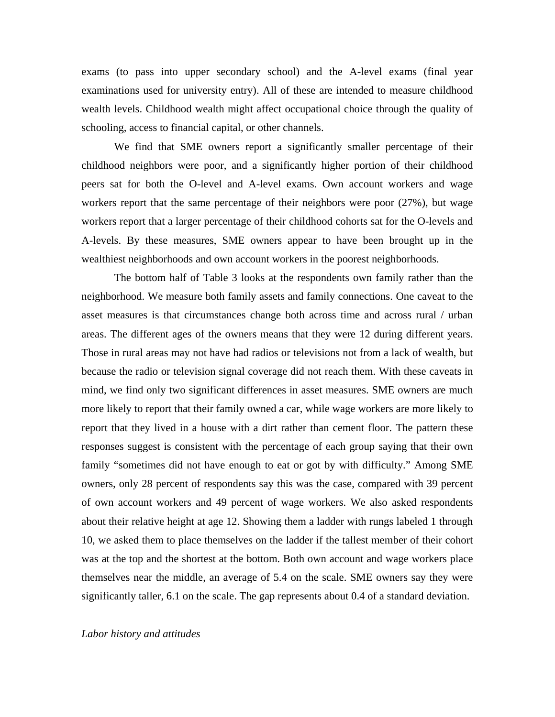exams (to pass into upper secondary school) and the A-level exams (final year examinations used for university entry). All of these are intended to measure childhood wealth levels. Childhood wealth might affect occupational choice through the quality of schooling, access to financial capital, or other channels.

We find that SME owners report a significantly smaller percentage of their childhood neighbors were poor, and a significantly higher portion of their childhood peers sat for both the O-level and A-level exams. Own account workers and wage workers report that the same percentage of their neighbors were poor (27%), but wage workers report that a larger percentage of their childhood cohorts sat for the O-levels and A-levels. By these measures, SME owners appear to have been brought up in the wealthiest neighborhoods and own account workers in the poorest neighborhoods.

The bottom half of Table 3 looks at the respondents own family rather than the neighborhood. We measure both family assets and family connections. One caveat to the asset measures is that circumstances change both across time and across rural / urban areas. The different ages of the owners means that they were 12 during different years. Those in rural areas may not have had radios or televisions not from a lack of wealth, but because the radio or television signal coverage did not reach them. With these caveats in mind, we find only two significant differences in asset measures. SME owners are much more likely to report that their family owned a car, while wage workers are more likely to report that they lived in a house with a dirt rather than cement floor. The pattern these responses suggest is consistent with the percentage of each group saying that their own family "sometimes did not have enough to eat or got by with difficulty." Among SME owners, only 28 percent of respondents say this was the case, compared with 39 percent of own account workers and 49 percent of wage workers. We also asked respondents about their relative height at age 12. Showing them a ladder with rungs labeled 1 through 10, we asked them to place themselves on the ladder if the tallest member of their cohort was at the top and the shortest at the bottom. Both own account and wage workers place themselves near the middle, an average of 5.4 on the scale. SME owners say they were significantly taller, 6.1 on the scale. The gap represents about 0.4 of a standard deviation.

#### *Labor history and attitudes*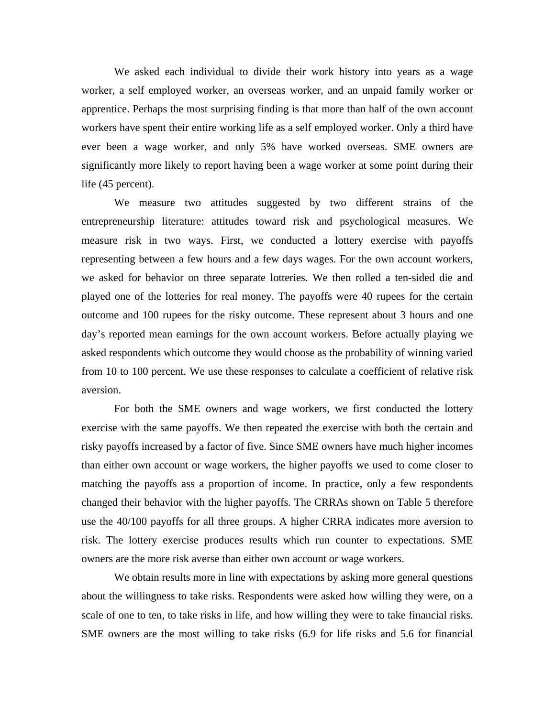We asked each individual to divide their work history into years as a wage worker, a self employed worker, an overseas worker, and an unpaid family worker or apprentice. Perhaps the most surprising finding is that more than half of the own account workers have spent their entire working life as a self employed worker. Only a third have ever been a wage worker, and only 5% have worked overseas. SME owners are significantly more likely to report having been a wage worker at some point during their life (45 percent).

We measure two attitudes suggested by two different strains of the entrepreneurship literature: attitudes toward risk and psychological measures. We measure risk in two ways. First, we conducted a lottery exercise with payoffs representing between a few hours and a few days wages. For the own account workers, we asked for behavior on three separate lotteries. We then rolled a ten-sided die and played one of the lotteries for real money. The payoffs were 40 rupees for the certain outcome and 100 rupees for the risky outcome. These represent about 3 hours and one day's reported mean earnings for the own account workers. Before actually playing we asked respondents which outcome they would choose as the probability of winning varied from 10 to 100 percent. We use these responses to calculate a coefficient of relative risk aversion.

For both the SME owners and wage workers, we first conducted the lottery exercise with the same payoffs. We then repeated the exercise with both the certain and risky payoffs increased by a factor of five. Since SME owners have much higher incomes than either own account or wage workers, the higher payoffs we used to come closer to matching the payoffs ass a proportion of income. In practice, only a few respondents changed their behavior with the higher payoffs. The CRRAs shown on Table 5 therefore use the 40/100 payoffs for all three groups. A higher CRRA indicates more aversion to risk. The lottery exercise produces results which run counter to expectations. SME owners are the more risk averse than either own account or wage workers.

We obtain results more in line with expectations by asking more general questions about the willingness to take risks. Respondents were asked how willing they were, on a scale of one to ten, to take risks in life, and how willing they were to take financial risks. SME owners are the most willing to take risks (6.9 for life risks and 5.6 for financial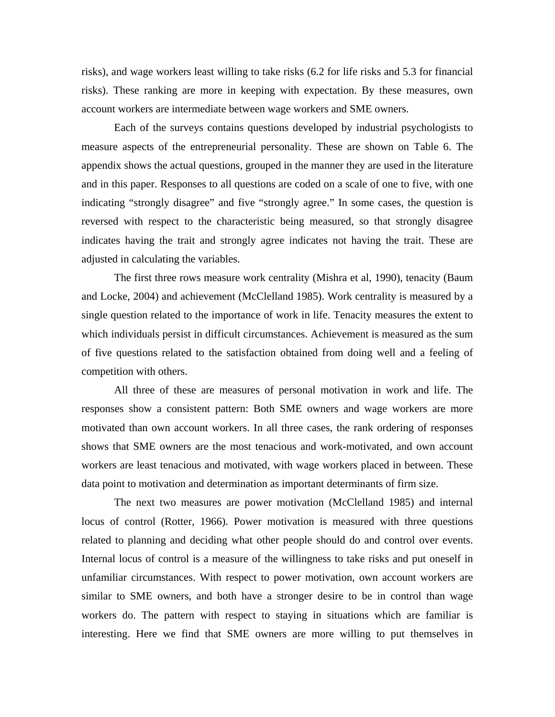risks), and wage workers least willing to take risks (6.2 for life risks and 5.3 for financial risks). These ranking are more in keeping with expectation. By these measures, own account workers are intermediate between wage workers and SME owners.

Each of the surveys contains questions developed by industrial psychologists to measure aspects of the entrepreneurial personality. These are shown on Table 6. The appendix shows the actual questions, grouped in the manner they are used in the literature and in this paper. Responses to all questions are coded on a scale of one to five, with one indicating "strongly disagree" and five "strongly agree." In some cases, the question is reversed with respect to the characteristic being measured, so that strongly disagree indicates having the trait and strongly agree indicates not having the trait. These are adjusted in calculating the variables.

The first three rows measure work centrality (Mishra et al, 1990), tenacity (Baum and Locke, 2004) and achievement (McClelland 1985). Work centrality is measured by a single question related to the importance of work in life. Tenacity measures the extent to which individuals persist in difficult circumstances. Achievement is measured as the sum of five questions related to the satisfaction obtained from doing well and a feeling of competition with others.

All three of these are measures of personal motivation in work and life. The responses show a consistent pattern: Both SME owners and wage workers are more motivated than own account workers. In all three cases, the rank ordering of responses shows that SME owners are the most tenacious and work-motivated, and own account workers are least tenacious and motivated, with wage workers placed in between. These data point to motivation and determination as important determinants of firm size.

The next two measures are power motivation (McClelland 1985) and internal locus of control (Rotter, 1966). Power motivation is measured with three questions related to planning and deciding what other people should do and control over events. Internal locus of control is a measure of the willingness to take risks and put oneself in unfamiliar circumstances. With respect to power motivation, own account workers are similar to SME owners, and both have a stronger desire to be in control than wage workers do. The pattern with respect to staying in situations which are familiar is interesting. Here we find that SME owners are more willing to put themselves in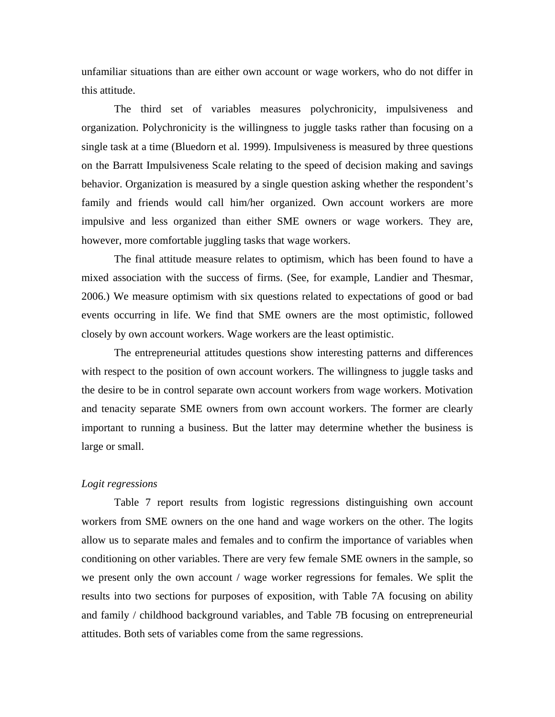unfamiliar situations than are either own account or wage workers, who do not differ in this attitude.

The third set of variables measures polychronicity, impulsiveness and organization. Polychronicity is the willingness to juggle tasks rather than focusing on a single task at a time (Bluedorn et al. 1999). Impulsiveness is measured by three questions on the Barratt Impulsiveness Scale relating to the speed of decision making and savings behavior. Organization is measured by a single question asking whether the respondent's family and friends would call him/her organized. Own account workers are more impulsive and less organized than either SME owners or wage workers. They are, however, more comfortable juggling tasks that wage workers.

The final attitude measure relates to optimism, which has been found to have a mixed association with the success of firms. (See, for example, Landier and Thesmar, 2006.) We measure optimism with six questions related to expectations of good or bad events occurring in life. We find that SME owners are the most optimistic, followed closely by own account workers. Wage workers are the least optimistic.

The entrepreneurial attitudes questions show interesting patterns and differences with respect to the position of own account workers. The willingness to juggle tasks and the desire to be in control separate own account workers from wage workers. Motivation and tenacity separate SME owners from own account workers. The former are clearly important to running a business. But the latter may determine whether the business is large or small.

#### *Logit regressions*

Table 7 report results from logistic regressions distinguishing own account workers from SME owners on the one hand and wage workers on the other. The logits allow us to separate males and females and to confirm the importance of variables when conditioning on other variables. There are very few female SME owners in the sample, so we present only the own account / wage worker regressions for females. We split the results into two sections for purposes of exposition, with Table 7A focusing on ability and family / childhood background variables, and Table 7B focusing on entrepreneurial attitudes. Both sets of variables come from the same regressions.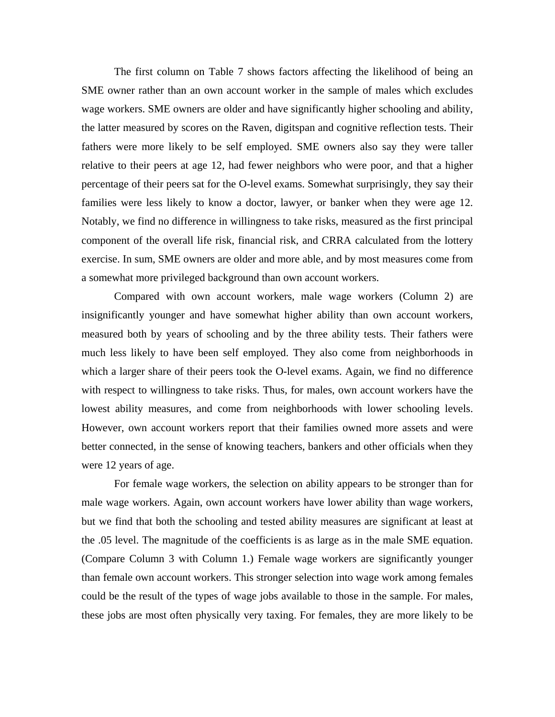The first column on Table 7 shows factors affecting the likelihood of being an SME owner rather than an own account worker in the sample of males which excludes wage workers. SME owners are older and have significantly higher schooling and ability, the latter measured by scores on the Raven, digitspan and cognitive reflection tests. Their fathers were more likely to be self employed. SME owners also say they were taller relative to their peers at age 12, had fewer neighbors who were poor, and that a higher percentage of their peers sat for the O-level exams. Somewhat surprisingly, they say their families were less likely to know a doctor, lawyer, or banker when they were age 12. Notably, we find no difference in willingness to take risks, measured as the first principal component of the overall life risk, financial risk, and CRRA calculated from the lottery exercise. In sum, SME owners are older and more able, and by most measures come from a somewhat more privileged background than own account workers.

Compared with own account workers, male wage workers (Column 2) are insignificantly younger and have somewhat higher ability than own account workers, measured both by years of schooling and by the three ability tests. Their fathers were much less likely to have been self employed. They also come from neighborhoods in which a larger share of their peers took the O-level exams. Again, we find no difference with respect to willingness to take risks. Thus, for males, own account workers have the lowest ability measures, and come from neighborhoods with lower schooling levels. However, own account workers report that their families owned more assets and were better connected, in the sense of knowing teachers, bankers and other officials when they were 12 years of age.

For female wage workers, the selection on ability appears to be stronger than for male wage workers. Again, own account workers have lower ability than wage workers, but we find that both the schooling and tested ability measures are significant at least at the .05 level. The magnitude of the coefficients is as large as in the male SME equation. (Compare Column 3 with Column 1.) Female wage workers are significantly younger than female own account workers. This stronger selection into wage work among females could be the result of the types of wage jobs available to those in the sample. For males, these jobs are most often physically very taxing. For females, they are more likely to be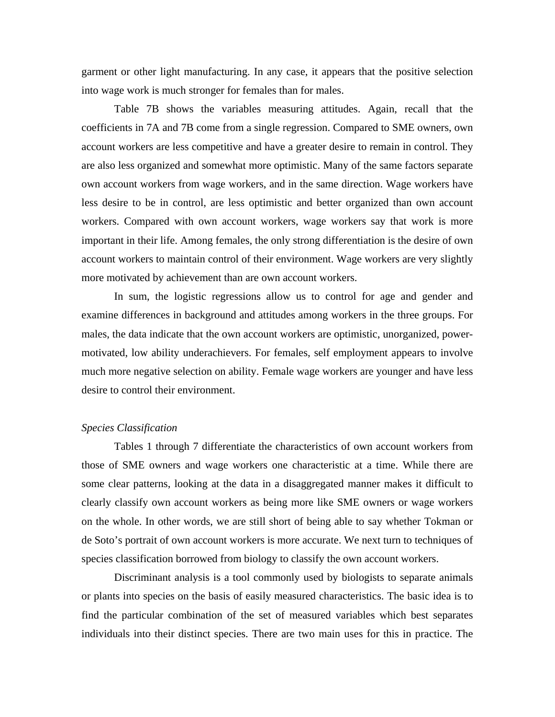garment or other light manufacturing. In any case, it appears that the positive selection into wage work is much stronger for females than for males.

Table 7B shows the variables measuring attitudes. Again, recall that the coefficients in 7A and 7B come from a single regression. Compared to SME owners, own account workers are less competitive and have a greater desire to remain in control. They are also less organized and somewhat more optimistic. Many of the same factors separate own account workers from wage workers, and in the same direction. Wage workers have less desire to be in control, are less optimistic and better organized than own account workers. Compared with own account workers, wage workers say that work is more important in their life. Among females, the only strong differentiation is the desire of own account workers to maintain control of their environment. Wage workers are very slightly more motivated by achievement than are own account workers.

In sum, the logistic regressions allow us to control for age and gender and examine differences in background and attitudes among workers in the three groups. For males, the data indicate that the own account workers are optimistic, unorganized, powermotivated, low ability underachievers. For females, self employment appears to involve much more negative selection on ability. Female wage workers are younger and have less desire to control their environment.

#### *Species Classification*

Tables 1 through 7 differentiate the characteristics of own account workers from those of SME owners and wage workers one characteristic at a time. While there are some clear patterns, looking at the data in a disaggregated manner makes it difficult to clearly classify own account workers as being more like SME owners or wage workers on the whole. In other words, we are still short of being able to say whether Tokman or de Soto's portrait of own account workers is more accurate. We next turn to techniques of species classification borrowed from biology to classify the own account workers.

Discriminant analysis is a tool commonly used by biologists to separate animals or plants into species on the basis of easily measured characteristics. The basic idea is to find the particular combination of the set of measured variables which best separates individuals into their distinct species. There are two main uses for this in practice. The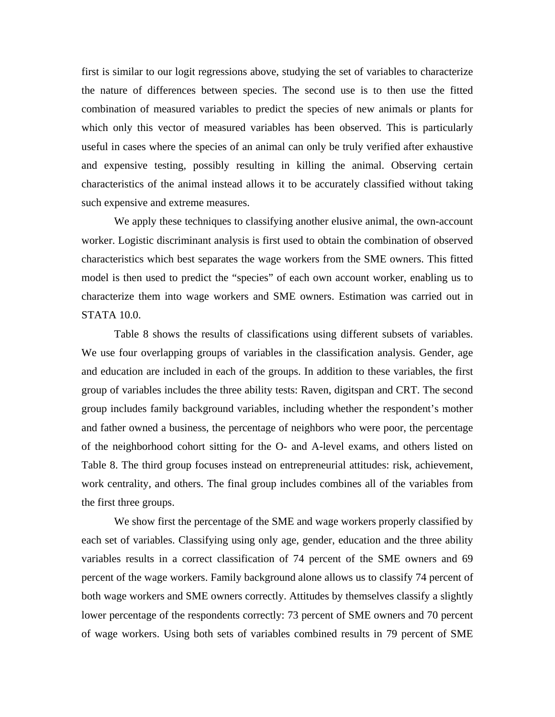first is similar to our logit regressions above, studying the set of variables to characterize the nature of differences between species. The second use is to then use the fitted combination of measured variables to predict the species of new animals or plants for which only this vector of measured variables has been observed. This is particularly useful in cases where the species of an animal can only be truly verified after exhaustive and expensive testing, possibly resulting in killing the animal. Observing certain characteristics of the animal instead allows it to be accurately classified without taking such expensive and extreme measures.

We apply these techniques to classifying another elusive animal, the own-account worker. Logistic discriminant analysis is first used to obtain the combination of observed characteristics which best separates the wage workers from the SME owners. This fitted model is then used to predict the "species" of each own account worker, enabling us to characterize them into wage workers and SME owners. Estimation was carried out in STATA 10.0.

Table 8 shows the results of classifications using different subsets of variables. We use four overlapping groups of variables in the classification analysis. Gender, age and education are included in each of the groups. In addition to these variables, the first group of variables includes the three ability tests: Raven, digitspan and CRT. The second group includes family background variables, including whether the respondent's mother and father owned a business, the percentage of neighbors who were poor, the percentage of the neighborhood cohort sitting for the O- and A-level exams, and others listed on Table 8. The third group focuses instead on entrepreneurial attitudes: risk, achievement, work centrality, and others. The final group includes combines all of the variables from the first three groups.

We show first the percentage of the SME and wage workers properly classified by each set of variables. Classifying using only age, gender, education and the three ability variables results in a correct classification of 74 percent of the SME owners and 69 percent of the wage workers. Family background alone allows us to classify 74 percent of both wage workers and SME owners correctly. Attitudes by themselves classify a slightly lower percentage of the respondents correctly: 73 percent of SME owners and 70 percent of wage workers. Using both sets of variables combined results in 79 percent of SME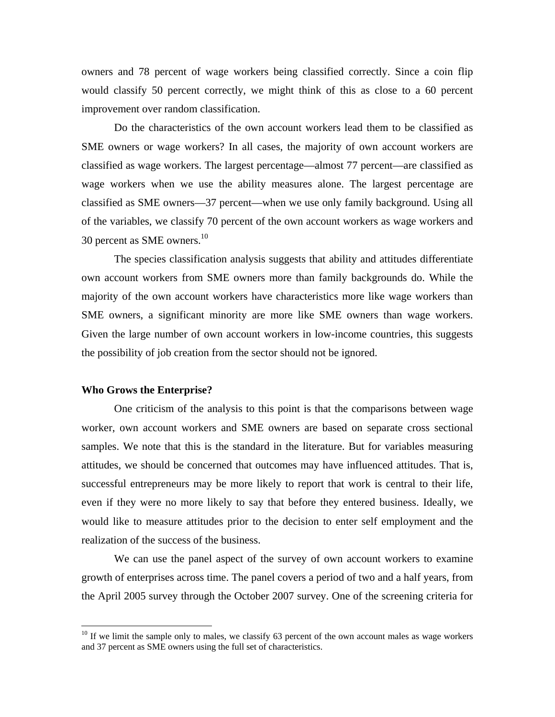owners and 78 percent of wage workers being classified correctly. Since a coin flip would classify 50 percent correctly, we might think of this as close to a 60 percent improvement over random classification.

Do the characteristics of the own account workers lead them to be classified as SME owners or wage workers? In all cases, the majority of own account workers are classified as wage workers. The largest percentage—almost 77 percent—are classified as wage workers when we use the ability measures alone. The largest percentage are classified as SME owners—37 percent—when we use only family background. Using all of the variables, we classify 70 percent of the own account workers as wage workers and 30 percent as SME owners.<sup>10</sup>

The species classification analysis suggests that ability and attitudes differentiate own account workers from SME owners more than family backgrounds do. While the majority of the own account workers have characteristics more like wage workers than SME owners, a significant minority are more like SME owners than wage workers. Given the large number of own account workers in low-income countries, this suggests the possibility of job creation from the sector should not be ignored.

#### **Who Grows the Enterprise?**

1

One criticism of the analysis to this point is that the comparisons between wage worker, own account workers and SME owners are based on separate cross sectional samples. We note that this is the standard in the literature. But for variables measuring attitudes, we should be concerned that outcomes may have influenced attitudes. That is, successful entrepreneurs may be more likely to report that work is central to their life, even if they were no more likely to say that before they entered business. Ideally, we would like to measure attitudes prior to the decision to enter self employment and the realization of the success of the business.

We can use the panel aspect of the survey of own account workers to examine growth of enterprises across time. The panel covers a period of two and a half years, from the April 2005 survey through the October 2007 survey. One of the screening criteria for

 $10$  If we limit the sample only to males, we classify 63 percent of the own account males as wage workers and 37 percent as SME owners using the full set of characteristics.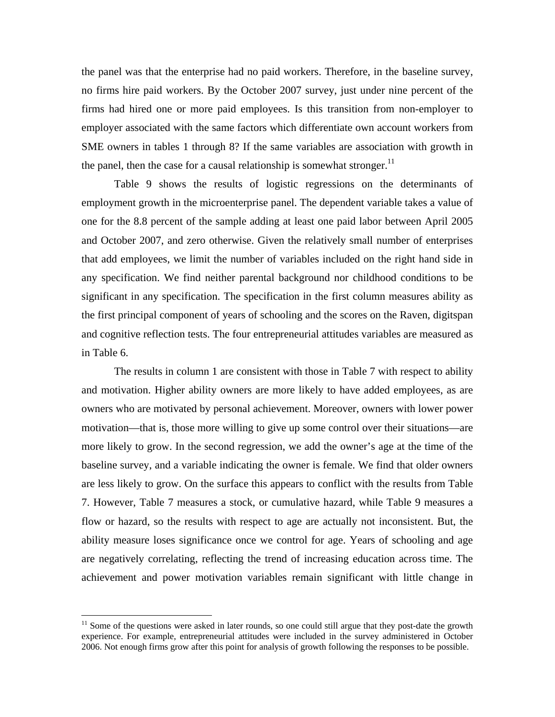the panel was that the enterprise had no paid workers. Therefore, in the baseline survey, no firms hire paid workers. By the October 2007 survey, just under nine percent of the firms had hired one or more paid employees. Is this transition from non-employer to employer associated with the same factors which differentiate own account workers from SME owners in tables 1 through 8? If the same variables are association with growth in the panel, then the case for a causal relationship is somewhat stronger.<sup>11</sup>

Table 9 shows the results of logistic regressions on the determinants of employment growth in the microenterprise panel. The dependent variable takes a value of one for the 8.8 percent of the sample adding at least one paid labor between April 2005 and October 2007, and zero otherwise. Given the relatively small number of enterprises that add employees, we limit the number of variables included on the right hand side in any specification. We find neither parental background nor childhood conditions to be significant in any specification. The specification in the first column measures ability as the first principal component of years of schooling and the scores on the Raven, digitspan and cognitive reflection tests. The four entrepreneurial attitudes variables are measured as in Table 6.

The results in column 1 are consistent with those in Table 7 with respect to ability and motivation. Higher ability owners are more likely to have added employees, as are owners who are motivated by personal achievement. Moreover, owners with lower power motivation—that is, those more willing to give up some control over their situations—are more likely to grow. In the second regression, we add the owner's age at the time of the baseline survey, and a variable indicating the owner is female. We find that older owners are less likely to grow. On the surface this appears to conflict with the results from Table 7. However, Table 7 measures a stock, or cumulative hazard, while Table 9 measures a flow or hazard, so the results with respect to age are actually not inconsistent. But, the ability measure loses significance once we control for age. Years of schooling and age are negatively correlating, reflecting the trend of increasing education across time. The achievement and power motivation variables remain significant with little change in

 $\overline{a}$ 

<sup>&</sup>lt;sup>11</sup> Some of the questions were asked in later rounds, so one could still argue that they post-date the growth experience. For example, entrepreneurial attitudes were included in the survey administered in October 2006. Not enough firms grow after this point for analysis of growth following the responses to be possible.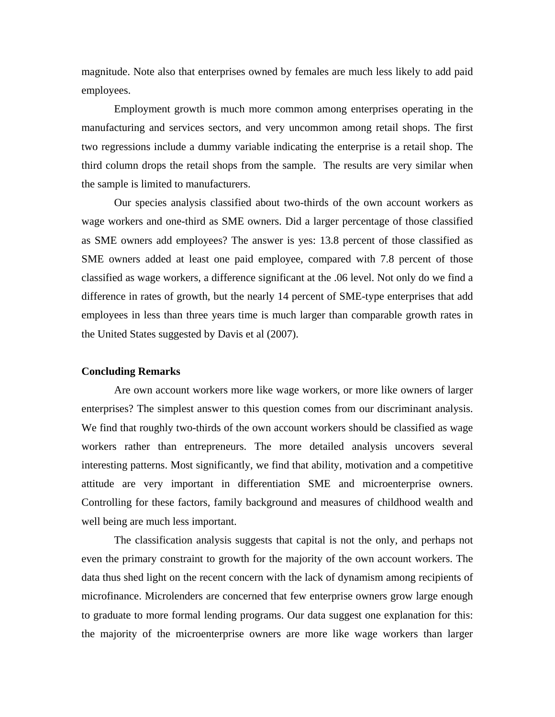magnitude. Note also that enterprises owned by females are much less likely to add paid employees.

Employment growth is much more common among enterprises operating in the manufacturing and services sectors, and very uncommon among retail shops. The first two regressions include a dummy variable indicating the enterprise is a retail shop. The third column drops the retail shops from the sample. The results are very similar when the sample is limited to manufacturers.

Our species analysis classified about two-thirds of the own account workers as wage workers and one-third as SME owners. Did a larger percentage of those classified as SME owners add employees? The answer is yes: 13.8 percent of those classified as SME owners added at least one paid employee, compared with 7.8 percent of those classified as wage workers, a difference significant at the .06 level. Not only do we find a difference in rates of growth, but the nearly 14 percent of SME-type enterprises that add employees in less than three years time is much larger than comparable growth rates in the United States suggested by Davis et al (2007).

#### **Concluding Remarks**

 Are own account workers more like wage workers, or more like owners of larger enterprises? The simplest answer to this question comes from our discriminant analysis. We find that roughly two-thirds of the own account workers should be classified as wage workers rather than entrepreneurs. The more detailed analysis uncovers several interesting patterns. Most significantly, we find that ability, motivation and a competitive attitude are very important in differentiation SME and microenterprise owners. Controlling for these factors, family background and measures of childhood wealth and well being are much less important.

 The classification analysis suggests that capital is not the only, and perhaps not even the primary constraint to growth for the majority of the own account workers. The data thus shed light on the recent concern with the lack of dynamism among recipients of microfinance. Microlenders are concerned that few enterprise owners grow large enough to graduate to more formal lending programs. Our data suggest one explanation for this: the majority of the microenterprise owners are more like wage workers than larger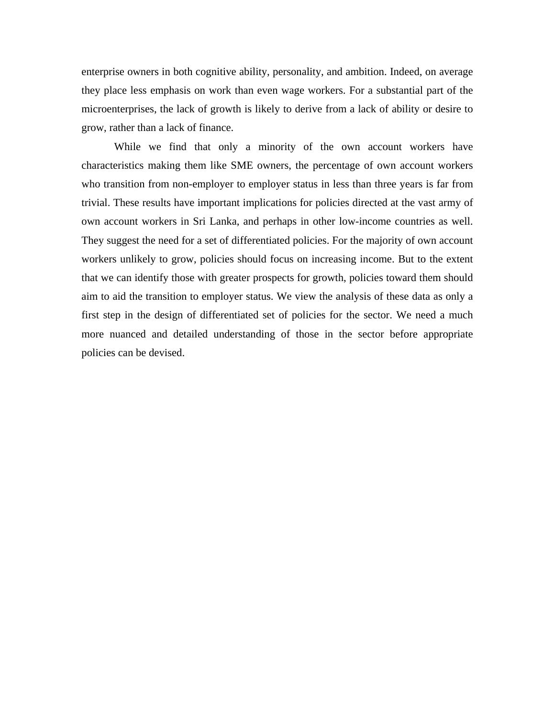enterprise owners in both cognitive ability, personality, and ambition. Indeed, on average they place less emphasis on work than even wage workers. For a substantial part of the microenterprises, the lack of growth is likely to derive from a lack of ability or desire to grow, rather than a lack of finance.

While we find that only a minority of the own account workers have characteristics making them like SME owners, the percentage of own account workers who transition from non-employer to employer status in less than three years is far from trivial. These results have important implications for policies directed at the vast army of own account workers in Sri Lanka, and perhaps in other low-income countries as well. They suggest the need for a set of differentiated policies. For the majority of own account workers unlikely to grow, policies should focus on increasing income. But to the extent that we can identify those with greater prospects for growth, policies toward them should aim to aid the transition to employer status. We view the analysis of these data as only a first step in the design of differentiated set of policies for the sector. We need a much more nuanced and detailed understanding of those in the sector before appropriate policies can be devised.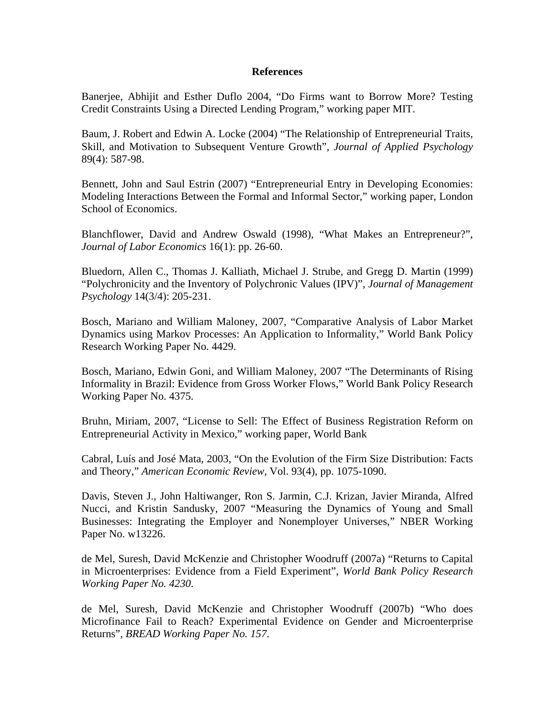#### **References**

Banerjee, Abhijit and Esther Duflo 2004, "Do Firms want to Borrow More? Testing Credit Constraints Using a Directed Lending Program," working paper MIT.

Baum, J. Robert and Edwin A. Locke (2004) "The Relationship of Entrepreneurial Traits, Skill, and Motivation to Subsequent Venture Growth", *Journal of Applied Psychology*  89(4): 587-98.

Bennett, John and Saul Estrin (2007) "Entrepreneurial Entry in Developing Economies: Modeling Interactions Between the Formal and Informal Sector," working paper, London School of Economics.

Blanchflower, David and Andrew Oswald (1998), "What Makes an Entrepreneur?", *Journal of Labor Economics* 16(1): pp. 26-60.

Bluedorn, Allen C., Thomas J. Kalliath, Michael J. Strube, and Gregg D. Martin (1999) "Polychronicity and the Inventory of Polychronic Values (IPV)", *Journal of Management Psychology* 14(3/4): 205-231.

Bosch, Mariano and William Maloney, 2007, "Comparative Analysis of Labor Market Dynamics using Markov Processes: An Application to Informality," World Bank Policy Research Working Paper No. 4429.

Bosch, Mariano, Edwin Goni, and William Maloney, 2007 "The Determinants of Rising Informality in Brazil: Evidence from Gross Worker Flows," World Bank Policy Research Working Paper No. 4375.

Bruhn, Miriam, 2007, "License to Sell: The Effect of Business Registration Reform on Entrepreneurial Activity in Mexico," working paper, World Bank

Cabral, Luís and José Mata, 2003, "On the Evolution of the Firm Size Distribution: Facts and Theory," *American Economic Review*, Vol. 93(4), pp. 1075-1090.

Davis, Steven J., John Haltiwanger, Ron S. Jarmin, C.J. Krizan, Javier Miranda, Alfred Nucci, and Kristin Sandusky, 2007 "Measuring the Dynamics of Young and Small Businesses: Integrating the Employer and Nonemployer Universes," NBER Working Paper No. w13226.

de Mel, Suresh, David McKenzie and Christopher Woodruff (2007a) "Returns to Capital in Microenterprises: Evidence from a Field Experiment", *World Bank Policy Research Working Paper No. 4230*.

de Mel, Suresh, David McKenzie and Christopher Woodruff (2007b) "Who does Microfinance Fail to Reach? Experimental Evidence on Gender and Microenterprise Returns", *BREAD Working Paper No. 157*.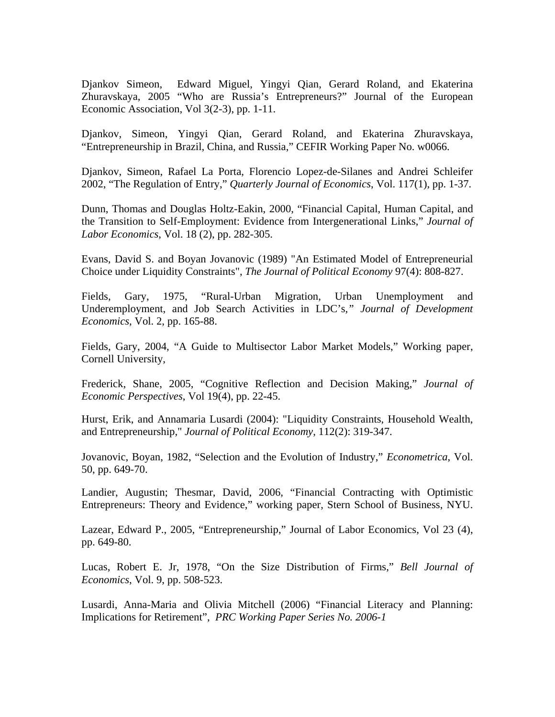Djankov Simeon, Edward Miguel, Yingyi Qian, Gerard Roland, and Ekaterina Zhuravskaya, 2005 "Who are Russia's Entrepreneurs?" Journal of the European Economic Association, Vol 3(2-3), pp. 1-11.

Djankov, Simeon, Yingyi Qian, Gerard Roland, and Ekaterina Zhuravskaya, "Entrepreneurship in Brazil, China, and Russia," CEFIR Working Paper No. w0066.

Djankov, Simeon, Rafael La Porta, Florencio Lopez-de-Silanes and Andrei Schleifer 2002, "The Regulation of Entry," *Quarterly Journal of Economics*, Vol. 117(1), pp. 1-37.

Dunn, Thomas and Douglas Holtz-Eakin, 2000, "Financial Capital, Human Capital, and the Transition to Self-Employment: Evidence from Intergenerational Links," *Journal of Labor Economics*, Vol. 18 (2), pp. 282-305.

Evans, David S. and Boyan Jovanovic (1989) "An Estimated Model of Entrepreneurial Choice under Liquidity Constraints", *The Journal of Political Economy* 97(4): 808-827.

Fields, Gary, 1975, "Rural-Urban Migration, Urban Unemployment and Underemployment, and Job Search Activities in LDC's*," Journal of Development Economics*, Vol. 2, pp. 165-88.

Fields, Gary, 2004, "A Guide to Multisector Labor Market Models," Working paper, Cornell University,

Frederick, Shane, 2005, "Cognitive Reflection and Decision Making," *Journal of Economic Perspectives*, Vol 19(4), pp. 22-45.

Hurst, Erik, and Annamaria Lusardi (2004): "Liquidity Constraints, Household Wealth, and Entrepreneurship," *Journal of Political Economy*, 112(2): 319-347.

Jovanovic, Boyan, 1982, "Selection and the Evolution of Industry," *Econometrica*, Vol. 50, pp. 649-70.

Landier, Augustin; Thesmar, David, 2006, "Financial Contracting with Optimistic Entrepreneurs: Theory and Evidence," working paper, Stern School of Business, NYU.

Lazear, Edward P., 2005, "Entrepreneurship," Journal of Labor Economics, Vol 23 (4), pp. 649-80.

Lucas, Robert E. Jr, 1978, "On the Size Distribution of Firms," *Bell Journal of Economics*, Vol. 9, pp. 508-523.

Lusardi, Anna-Maria and Olivia Mitchell (2006) "Financial Literacy and Planning: Implications for Retirement", *PRC Working Paper Series No. 2006-1*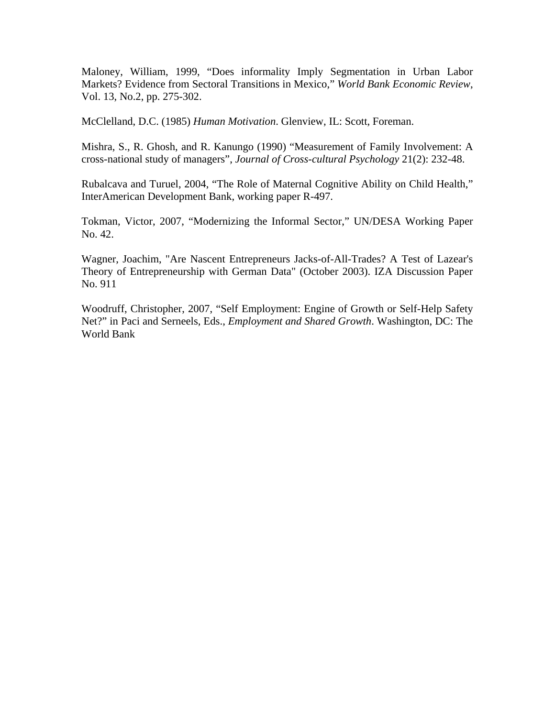Maloney, William, 1999, "Does informality Imply Segmentation in Urban Labor Markets? Evidence from Sectoral Transitions in Mexico," *World Bank Economic Review*, Vol. 13, No.2, pp. 275-302.

McClelland, D.C. (1985) *Human Motivation*. Glenview, IL: Scott, Foreman.

Mishra, S., R. Ghosh, and R. Kanungo (1990) "Measurement of Family Involvement: A cross-national study of managers", *Journal of Cross-cultural Psychology* 21(2): 232-48.

Rubalcava and Turuel, 2004, "The Role of Maternal Cognitive Ability on Child Health," InterAmerican Development Bank, working paper R-497.

Tokman, Victor, 2007, "Modernizing the Informal Sector," UN/DESA Working Paper No. 42.

Wagner, Joachim, "Are Nascent Entrepreneurs Jacks-of-All-Trades? A Test of Lazear's Theory of Entrepreneurship with German Data" (October 2003). IZA Discussion Paper No. 911

Woodruff, Christopher, 2007, "Self Employment: Engine of Growth or Self-Help Safety Net?" in Paci and Serneels, Eds., *Employment and Shared Growth*. Washington, DC: The World Bank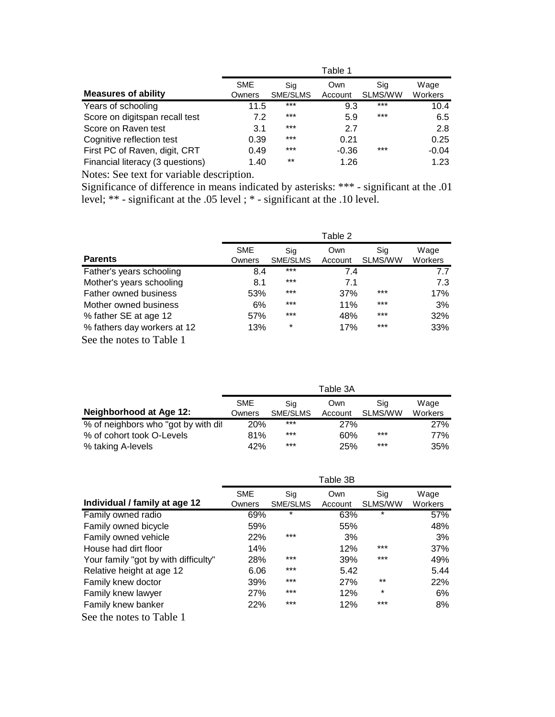|                                  | Table 1              |                 |                |                |                 |
|----------------------------------|----------------------|-----------------|----------------|----------------|-----------------|
| <b>Measures of ability</b>       | <b>SME</b><br>Owners | Sig<br>SME/SLMS | Own<br>Account | Sig<br>SLMS/WW | Wage<br>Workers |
| Years of schooling               | 11.5                 | $***$           | 9.3            | $***$          | 10.4            |
| Score on digitspan recall test   | 7.2                  | ***             | 5.9            | $***$          | 6.5             |
| Score on Raven test              | 3.1                  | $***$           | 2.7            |                | 2.8             |
| Cognitive reflection test        | 0.39                 | $***$           | 0.21           |                | 0.25            |
| First PC of Raven, digit, CRT    | 0.49                 | ***             | $-0.36$        | ***            | $-0.04$         |
| Financial literacy (3 questions) | 1.40                 | $***$           | 1.26           |                | 1.23            |

Notes: See text for variable description.

Significance of difference in means indicated by asterisks: \*\*\* - significant at the .01 level; \*\* - significant at the .05 level ; \* - significant at the .10 level.

|                             |                      | Table 2         |                |                |                 |  |
|-----------------------------|----------------------|-----------------|----------------|----------------|-----------------|--|
| <b>Parents</b>              | <b>SME</b><br>Owners | Sig<br>SME/SLMS | Own<br>Account | Sig<br>SLMS/WW | Wage<br>Workers |  |
| Father's years schooling    | 8.4                  | $***$           | 7.4            |                | 7.7             |  |
| Mother's years schooling    | 8.1                  | ***             | 7.1            |                | 7.3             |  |
| Father owned business       | 53%                  | ***             | 37%            | $***$          | 17%             |  |
| Mother owned business       | 6%                   | $***$           | 11%            | ***            | 3%              |  |
| % father SE at age 12       | 57%                  | ***             | 48%            | $***$          | 32%             |  |
| % fathers day workers at 12 | 13%                  | *               | 17%            | $***$          | 33%             |  |
| See the notes to Table 1    |                      |                 |                |                |                 |  |

|                                     | Table 3A   |          |         |         |         |
|-------------------------------------|------------|----------|---------|---------|---------|
|                                     | <b>SME</b> | Sia      | Own     | Sia     | Wage    |
| <b>Neighborhood at Age 12:</b>      | Owners     | SME/SLMS | Account | SLMS/WW | Workers |
| % of neighbors who "got by with dil | 20%        | ***      | 27%     |         | 27%     |
| % of cohort took O-Levels           | 81%        | ***      | 60%     | ***     | 77%     |
| % taking A-levels                   | 42%        | ***      | 25%     | ***     | 35%     |

|                                      | Table 3B   |          |         |         |         |
|--------------------------------------|------------|----------|---------|---------|---------|
|                                      | <b>SME</b> | Sig      | Own     | Sig     | Wage    |
| Individual / family at age 12        | Owners     | SME/SLMS | Account | SLMS/WW | Workers |
| Family owned radio                   | 69%        | $\star$  | 63%     | $\ast$  | 57%     |
| Family owned bicycle                 | 59%        |          | 55%     |         | 48%     |
| Family owned vehicle                 | 22%        | ***      | 3%      |         | 3%      |
| House had dirt floor                 | 14%        |          | 12%     | ***     | 37%     |
| Your family "got by with difficulty" | 28%        | $***$    | 39%     | $***$   | 49%     |
| Relative height at age 12            | 6.06       | $***$    | 5.42    |         | 5.44    |
| Family knew doctor                   | 39%        | $***$    | 27%     | $***$   | 22%     |
| Family knew lawyer                   | 27%        | ***      | 12%     | $\ast$  | 6%      |
| Family knew banker                   | 22%        | $***$    | 12%     | $***$   | 8%      |
| See the notes to Table 1             |            |          |         |         |         |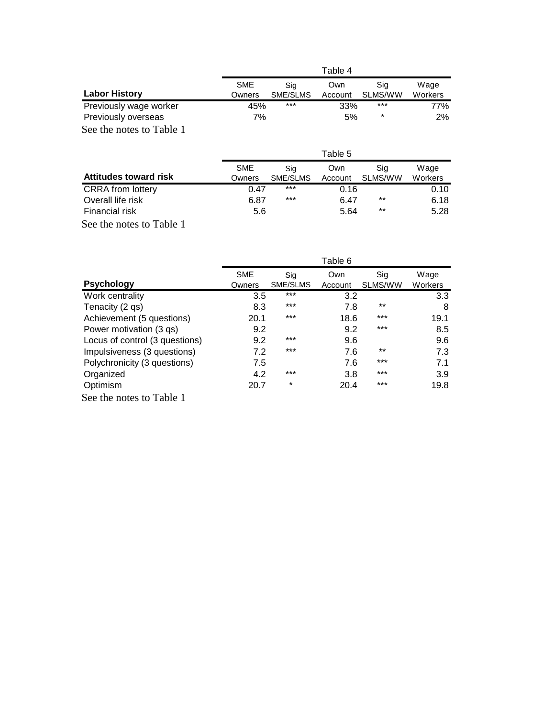|                          |            | Table 4  |         |         |         |  |
|--------------------------|------------|----------|---------|---------|---------|--|
|                          | <b>SME</b> | Sia      | Own     | Sia     | Wage    |  |
| <b>Labor History</b>     | Owners     | SME/SLMS | Account | SLMS/WW | Workers |  |
| Previously wage worker   | 45%        | $***$    | 33%     | $***$   | 77%     |  |
| Previously overseas      | 7%         |          | 5%      | $\star$ | 2%      |  |
| See the notes to Table 1 |            |          |         |         |         |  |

|                              |                      |                 | Table 5        |                |                 |
|------------------------------|----------------------|-----------------|----------------|----------------|-----------------|
| <b>Attitudes toward risk</b> | <b>SME</b><br>Owners | Sia<br>SME/SLMS | Own<br>Account | Sia<br>SLMS/WW | Wage<br>Workers |
| <b>CRRA</b> from lottery     | 0.47                 | $***$           | 0.16           |                | 0.10            |
| Overall life risk            | 6.87                 | ***             | 6.47           | $***$          | 6.18            |
| Financial risk               | 5.6                  |                 | 5.64           | $***$          | 5.28            |
| See the notes to Table 1     |                      |                 |                |                |                 |

|                                | Table 6    |          |         |         |         |
|--------------------------------|------------|----------|---------|---------|---------|
|                                | <b>SME</b> | Sig      | Own     | Sig     | Wage    |
| <b>Psychology</b>              | Owners     | SME/SLMS | Account | SLMS/WW | Workers |
| Work centrality                | 3.5        | $***$    | 3.2     |         | 3.3     |
| Tenacity (2 qs)                | 8.3        | $***$    | 7.8     | $***$   | 8       |
| Achievement (5 questions)      | 20.1       | ***      | 18.6    | ***     | 19.1    |
| Power motivation (3 qs)        | 9.2        |          | 9.2     | ***     | 8.5     |
| Locus of control (3 questions) | 9.2        | ***      | 9.6     |         | 9.6     |
| Impulsiveness (3 questions)    | 7.2        | $***$    | 7.6     | $***$   | 7.3     |
| Polychronicity (3 questions)   | 7.5        |          | 7.6     | ***     | 7.1     |
| Organized                      | 4.2        | $***$    | 3.8     | ***     | 3.9     |
| Optimism                       | 20.7       | *        | 20.4    | ***     | 19.8    |
| See the notes to Table 1       |            |          |         |         |         |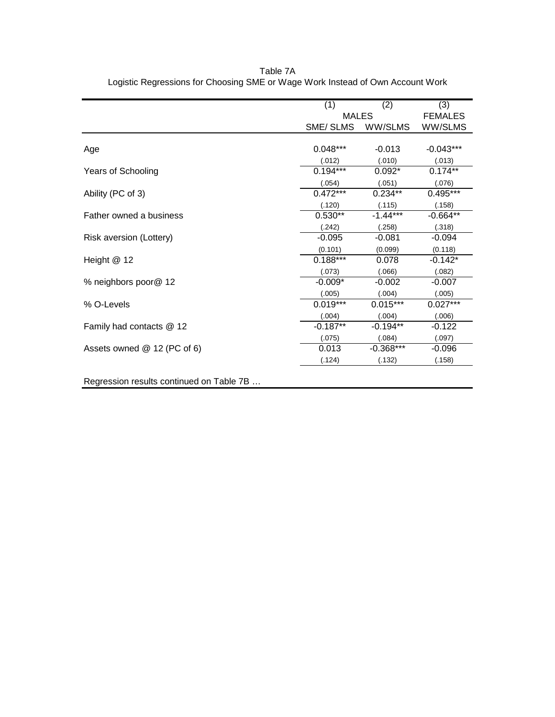|                             | (1)          | $\overline{(2)}$ | $\overline{(3)}$ |
|-----------------------------|--------------|------------------|------------------|
|                             | <b>MALES</b> |                  | <b>FEMALES</b>   |
|                             | SME/SLMS     | WW/SLMS          | WW/SLMS          |
|                             |              |                  |                  |
| Age                         | $0.048***$   | $-0.013$         | $-0.043***$      |
|                             | (.012)       | (.010)           | (.013)           |
| <b>Years of Schooling</b>   | $0.194***$   | $0.092*$         | $0.174**$        |
|                             | (.054)       | (.051)           | (.076)           |
| Ability (PC of 3)           | $0.472***$   | $0.234**$        | $0.495***$       |
|                             | (.120)       | (.115)           | (.158)           |
| Father owned a business     | $0.530**$    | $-1.44***$       | $-0.664**$       |
|                             | (.242)       | (.258)           | (.318)           |
| Risk aversion (Lottery)     | $-0.095$     | $-0.081$         | $-0.094$         |
|                             | (0.101)      | (0.099)          | (0.118)          |
| Height @ 12                 | $0.188***$   | 0.078            | $-0.142*$        |
|                             | (.073)       | (.066)           | (.082)           |
| % neighbors poor@ 12        | $-0.009*$    | $-0.002$         | $-0.007$         |
|                             | (.005)       | (.004)           | (.005)           |
| % O-Levels                  | $0.019***$   | $0.015***$       | $0.027***$       |
|                             | (.004)       | (.004)           | (.006)           |
| Family had contacts @ 12    | $-0.187**$   | $-0.194**$       | $-0.122$         |
|                             | (.075)       | (.084)           | (.097)           |
| Assets owned @ 12 (PC of 6) | 0.013        | $-0.368***$      | $-0.096$         |
|                             | (.124)       | (.132)           | (.158)           |
|                             |              |                  |                  |

Table 7A Logistic Regressions for Choosing SME or Wage Work Instead of Own Account Work

Regression results continued on Table 7B …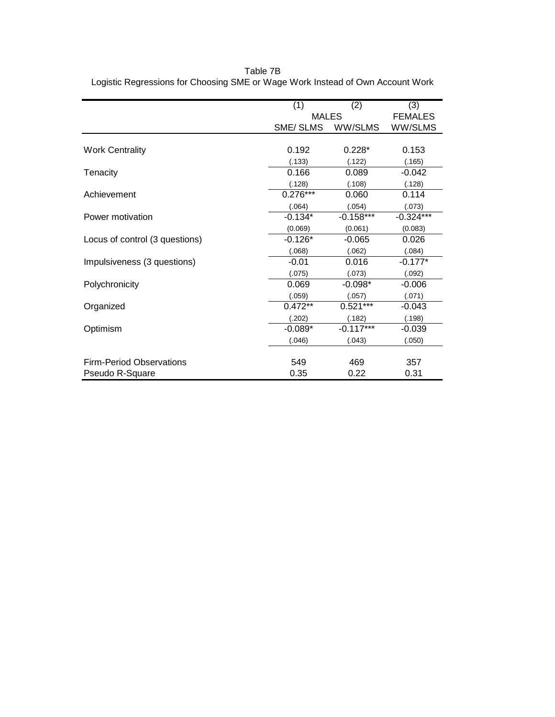|                                 | (1)          | $\overline{(2)}$ | (3)            |
|---------------------------------|--------------|------------------|----------------|
|                                 | <b>MALES</b> |                  | <b>FEMALES</b> |
|                                 | SME/SLMS     | WW/SLMS          | WW/SLMS        |
|                                 |              |                  |                |
| <b>Work Centrality</b>          | 0.192        | $0.228*$         | 0.153          |
|                                 | (.133)       | (.122)           | (.165)         |
| Tenacity                        | 0.166        | 0.089            | $-0.042$       |
|                                 | (.128)       | (.108)           | (.128)         |
| Achievement                     | $0.276***$   | 0.060            | 0.114          |
|                                 | (.064)       | (.054)           | (.073)         |
| Power motivation                | $-0.134*$    | $-0.158***$      | $-0.324***$    |
|                                 | (0.069)      | (0.061)          | (0.083)        |
| Locus of control (3 questions)  | $-0.126*$    | $-0.065$         | 0.026          |
|                                 | (.068)       | (.062)           | (.084)         |
| Impulsiveness (3 questions)     | $-0.01$      | 0.016            | $-0.177*$      |
|                                 | (.075)       | (.073)           | (.092)         |
| Polychronicity                  | 0.069        | $-0.098*$        | $-0.006$       |
|                                 | (.059)       | (.057)           | (.071)         |
| Organized                       | $0.472**$    | $0.521***$       | $-0.043$       |
|                                 | (.202)       | (.182)           | (.198)         |
| Optimism                        | $-0.089*$    | $-0.117***$      | $-0.039$       |
|                                 | (.046)       | (.043)           | (.050)         |
| <b>Firm-Period Observations</b> | 549          | 469              | 357            |
| Pseudo R-Square                 | 0.35         | 0.22             | 0.31           |

Table 7B Logistic Regressions for Choosing SME or Wage Work Instead of Own Account Work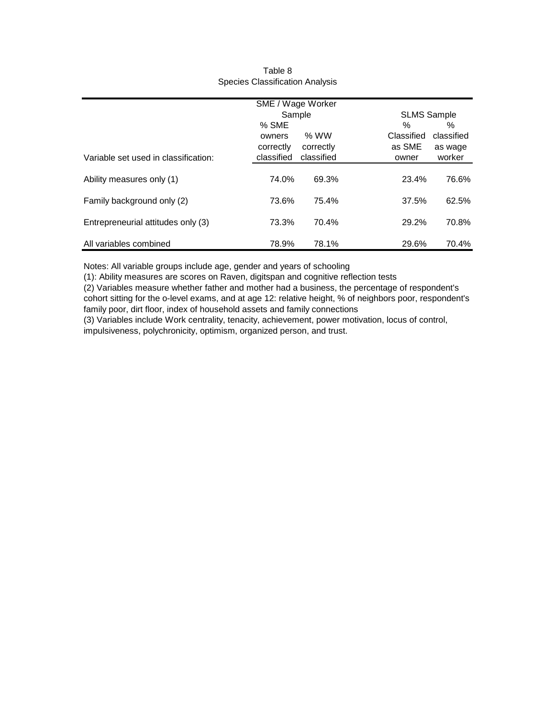|                                      | SME / Wage Worker |            |                    |            |
|--------------------------------------|-------------------|------------|--------------------|------------|
|                                      | Sample            |            | <b>SLMS Sample</b> |            |
|                                      | % SME             |            | ℅                  | $\%$       |
|                                      | owners            | % WW       | Classified         | classified |
|                                      | correctly         | correctly  | as SME             | as wage    |
| Variable set used in classification: | classified        | classified | owner              | worker     |
|                                      |                   |            |                    |            |
| Ability measures only (1)            | 74.0%             | 69.3%      | 23.4%              | 76.6%      |
|                                      |                   |            |                    |            |
| Family background only (2)           | 73.6%             | 75.4%      | 37.5%              | 62.5%      |
|                                      |                   |            |                    |            |
| Entrepreneurial attitudes only (3)   | 73.3%             | 70.4%      | 29.2%              | 70.8%      |
|                                      |                   |            |                    |            |
| All variables combined               | 78.9%             | 78.1%      | 29.6%              | 70.4%      |

#### Table 8 Species Classification Analysis

Notes: All variable groups include age, gender and years of schooling

(1): Ability measures are scores on Raven, digitspan and cognitive reflection tests

(2) Variables measure whether father and mother had a business, the percentage of respondent's cohort sitting for the o-level exams, and at age 12: relative height, % of neighbors poor, respondent's family poor, dirt floor, index of household assets and family connections

(3) Variables include Work centrality, tenacity, achievement, power motivation, locus of control, impulsiveness, polychronicity, optimism, organized person, and trust.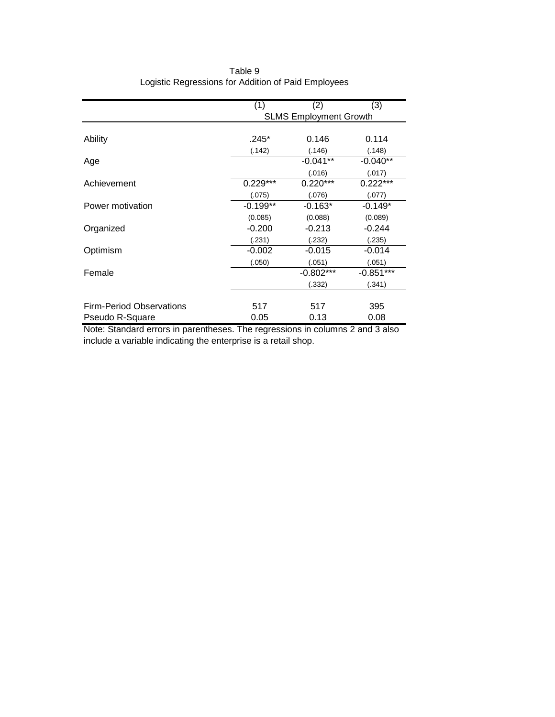|                                 | (1)        | (2)                           | (3)         |
|---------------------------------|------------|-------------------------------|-------------|
|                                 |            | <b>SLMS Employment Growth</b> |             |
|                                 |            |                               |             |
| Ability                         | .245*      | 0.146                         | 0.114       |
|                                 | (.142)     | (.146)                        | (.148)      |
| Age                             |            | $-0.041**$                    | $-0.040**$  |
|                                 |            | (.016)                        | (.017)      |
| Achievement                     | $0.229***$ | $0.220***$                    | $0.222***$  |
|                                 | (.075)     | (.076)                        | (.077)      |
| Power motivation                | $-0.199**$ | $-0.163*$                     | $-0.149*$   |
|                                 | (0.085)    | (0.088)                       | (0.089)     |
| Organized                       | $-0.200$   | $-0.213$                      | $-0.244$    |
|                                 | (.231)     | (.232)                        | (.235)      |
| Optimism                        | $-0.002$   | $-0.015$                      | $-0.014$    |
|                                 | (.050)     | (.051)                        | (.051)      |
| Female                          |            | $-0.802***$                   | $-0.851***$ |
|                                 |            | (.332)                        | (.341)      |
|                                 |            |                               |             |
| <b>Firm-Period Observations</b> | 517        | 517                           | 395         |
| Pseudo R-Square                 | 0.05       | 0.13                          | 0.08        |

Table 9 Logistic Regressions for Addition of Paid Employees

Note: Standard errors in parentheses. The regressions in columns 2 and 3 also include a variable indicating the enterprise is a retail shop.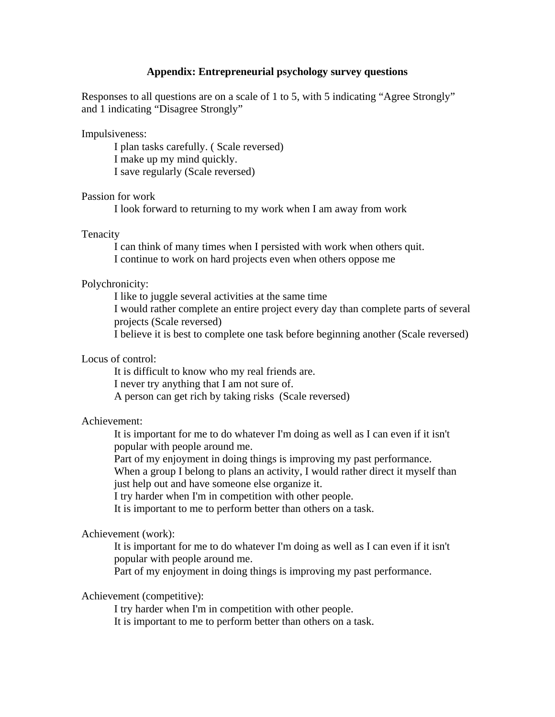#### **Appendix: Entrepreneurial psychology survey questions**

Responses to all questions are on a scale of 1 to 5, with 5 indicating "Agree Strongly" and 1 indicating "Disagree Strongly"

Impulsiveness:

I plan tasks carefully. ( Scale reversed) I make up my mind quickly. I save regularly (Scale reversed)

Passion for work

I look forward to returning to my work when I am away from work

Tenacity

I can think of many times when I persisted with work when others quit. I continue to work on hard projects even when others oppose me

#### Polychronicity:

I like to juggle several activities at the same time

I would rather complete an entire project every day than complete parts of several projects (Scale reversed)

I believe it is best to complete one task before beginning another (Scale reversed)

#### Locus of control:

It is difficult to know who my real friends are. I never try anything that I am not sure of. A person can get rich by taking risks (Scale reversed)

#### Achievement:

It is important for me to do whatever I'm doing as well as I can even if it isn't popular with people around me.

Part of my enjoyment in doing things is improving my past performance.

When a group I belong to plans an activity, I would rather direct it myself than just help out and have someone else organize it.

I try harder when I'm in competition with other people.

It is important to me to perform better than others on a task.

Achievement (work):

It is important for me to do whatever I'm doing as well as I can even if it isn't popular with people around me.

Part of my enjoyment in doing things is improving my past performance.

#### Achievement (competitive):

I try harder when I'm in competition with other people.

It is important to me to perform better than others on a task.